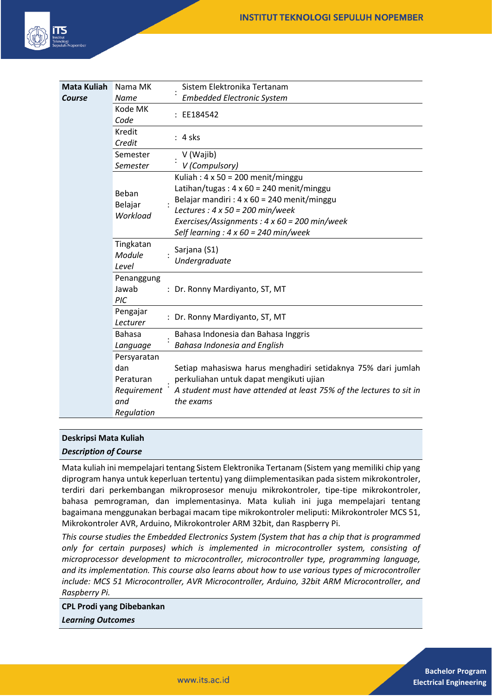

| <b>Mata Kuliah</b> | Nama MK                      | Sistem Elektronika Tertanam                                         |
|--------------------|------------------------------|---------------------------------------------------------------------|
| Course             | <b>Name</b>                  | <b>Embedded Electronic System</b>                                   |
|                    | Kode MK<br>Code              | EE184542                                                            |
|                    | Kredit<br>Credit             | $: 4$ sks                                                           |
|                    | Semester                     | V (Wajib)                                                           |
|                    | Semester                     | V (Compulsory)                                                      |
|                    |                              | Kuliah: $4 \times 50 = 200$ menit/minggu                            |
|                    | Beban                        | Latihan/tugas: $4 \times 60 = 240$ menit/minggu                     |
|                    |                              | Belajar mandiri : $4 \times 60 = 240$ menit/minggu                  |
|                    | Belajar<br>Workload          | Lectures : $4 \times 50 = 200$ min/week                             |
|                    |                              | Exercises/Assignments: $4 \times 60 = 200$ min/week                 |
|                    |                              | Self learning : $4 \times 60 = 240$ min/week                        |
|                    | Tingkatan<br>Module<br>Level | Sarjana (S1)<br>Undergraduate                                       |
|                    | Penanggung<br>Jawab<br>PIC   | : Dr. Ronny Mardiyanto, ST, MT                                      |
|                    | Pengajar<br>Lecturer         | Dr. Ronny Mardiyanto, ST, MT                                        |
|                    | <b>Bahasa</b>                | Bahasa Indonesia dan Bahasa Inggris                                 |
|                    | Language                     | <b>Bahasa Indonesia and English</b>                                 |
|                    | Persyaratan                  |                                                                     |
|                    | dan                          | Setiap mahasiswa harus menghadiri setidaknya 75% dari jumlah        |
|                    | Peraturan                    | perkuliahan untuk dapat mengikuti ujian                             |
|                    | Requirement                  | A student must have attended at least 75% of the lectures to sit in |
|                    | and                          | the exams                                                           |
|                    | Regulation                   |                                                                     |

### **Deskripsi Mata Kuliah**

### *Description of Course*

Mata kuliah ini mempelajari tentang Sistem Elektronika Tertanam (Sistem yang memiliki chip yang diprogram hanya untuk keperluan tertentu) yang diimplementasikan pada sistem mikrokontroler, terdiri dari perkembangan mikroprosesor menuju mikrokontroler, tipe-tipe mikrokontroler, bahasa pemrograman, dan implementasinya. Mata kuliah ini juga mempelajari tentang bagaimana menggunakan berbagai macam tipe mikrokontroler meliputi: Mikrokontroler MCS 51, Mikrokontroler AVR, Arduino, Mikrokontroler ARM 32bit, dan Raspberry Pi.

*This course studies the Embedded Electronics System (System that has a chip that is programmed only for certain purposes) which is implemented in microcontroller system, consisting of microprocessor development to microcontroller, microcontroller type, programming language, and its implementation. This course also learns about how to use various types of microcontroller include: MCS 51 Microcontroller, AVR Microcontroller, Arduino, 32bit ARM Microcontroller, and Raspberry Pi.*

**CPL Prodi yang Dibebankan** *Learning Outcomes*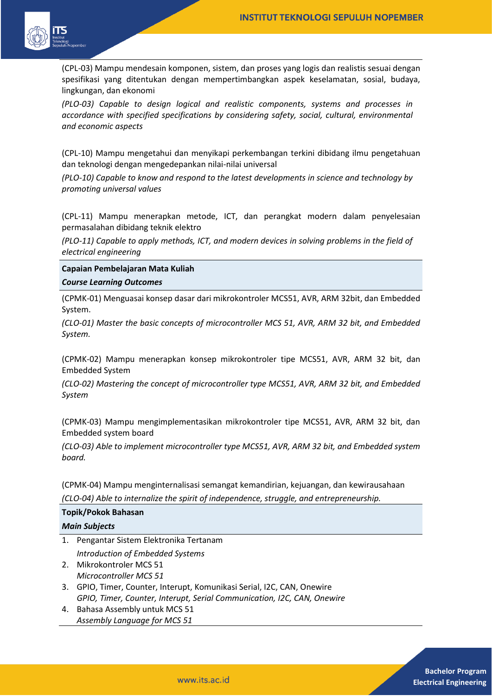

(CPL-03) Mampu mendesain komponen, sistem, dan proses yang logis dan realistis sesuai dengan spesifikasi yang ditentukan dengan mempertimbangkan aspek keselamatan, sosial, budaya, lingkungan, dan ekonomi

*(PLO-03) Capable to design logical and realistic components, systems and processes in accordance with specified specifications by considering safety, social, cultural, environmental and economic aspects*

(CPL-10) Mampu mengetahui dan menyikapi perkembangan terkini dibidang ilmu pengetahuan dan teknologi dengan mengedepankan nilai-nilai universal

*(PLO-10) Capable to know and respond to the latest developments in science and technology by promoting universal values*

(CPL-11) Mampu menerapkan metode, ICT, dan perangkat modern dalam penyelesaian permasalahan dibidang teknik elektro

*(PLO-11) Capable to apply methods, ICT, and modern devices in solving problems in the field of electrical engineering*

**Capaian Pembelajaran Mata Kuliah**

### *Course Learning Outcomes*

(CPMK-01) Menguasai konsep dasar dari mikrokontroler MCS51, AVR, ARM 32bit, dan Embedded System.

*(CLO-01) Master the basic concepts of microcontroller MCS 51, AVR, ARM 32 bit, and Embedded System.*

(CPMK-02) Mampu menerapkan konsep mikrokontroler tipe MCS51, AVR, ARM 32 bit, dan Embedded System

*(CLO-02) Mastering the concept of microcontroller type MCS51, AVR, ARM 32 bit, and Embedded System*

(CPMK-03) Mampu mengimplementasikan mikrokontroler tipe MCS51, AVR, ARM 32 bit, dan Embedded system board

*(CLO-03) Able to implement microcontroller type MCS51, AVR, ARM 32 bit, and Embedded system board.*

(CPMK-04) Mampu menginternalisasi semangat kemandirian, kejuangan, dan kewirausahaan *(CLO-04) Able to internalize the spirit of independence, struggle, and entrepreneurship.*

| Topik/Pokok Bahasan  |                                                                         |  |
|----------------------|-------------------------------------------------------------------------|--|
| <b>Main Subjects</b> |                                                                         |  |
|                      | 1. Pengantar Sistem Elektronika Tertanam                                |  |
|                      | Introduction of Embedded Systems                                        |  |
|                      | 2. Mikrokontroler MCS 51                                                |  |
|                      | Microcontroller MCS 51                                                  |  |
| 3.                   | GPIO, Timer, Counter, Interupt, Komunikasi Serial, I2C, CAN, Onewire    |  |
|                      | GPIO, Timer, Counter, Interupt, Serial Communication, I2C, CAN, Onewire |  |

4. Bahasa Assembly untuk MCS 51 *Assembly Language for MCS 51*